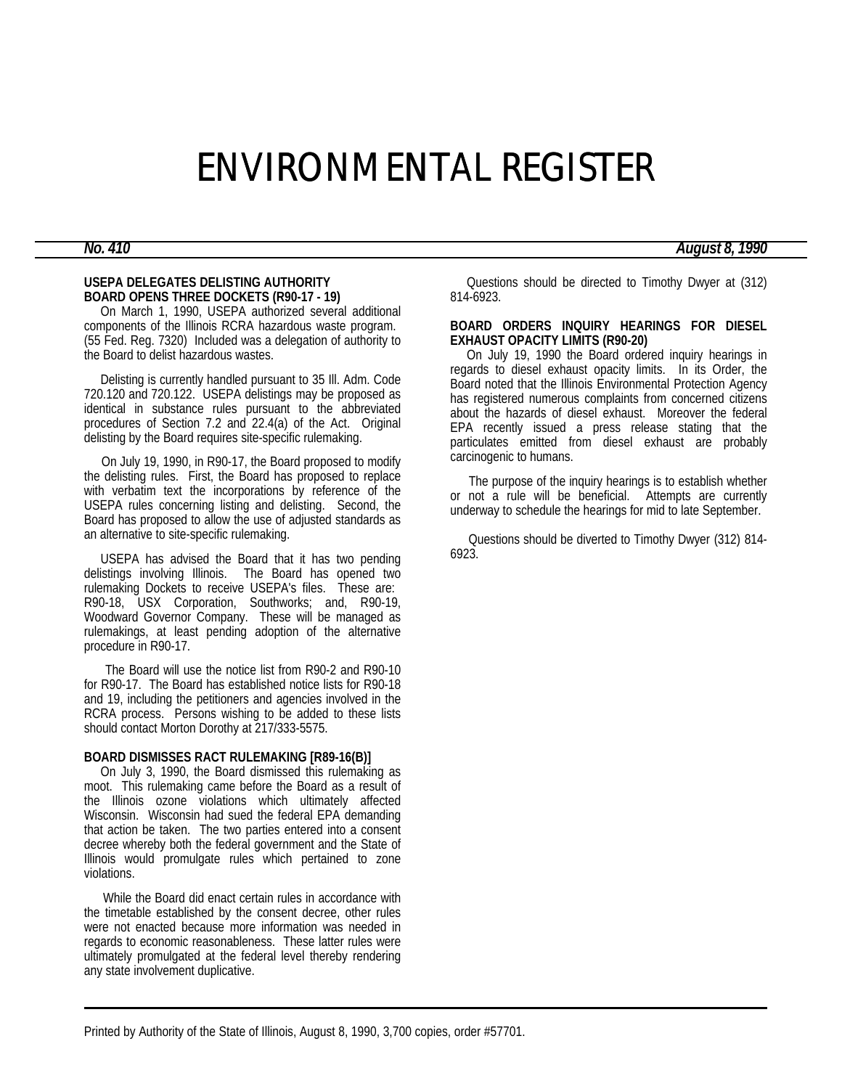# ENVIRONMENTAL REGISTER

## *No. 410 August 8, 1990*

### **USEPA DELEGATES DELISTING AUTHORITY BOARD OPENS THREE DOCKETS (R90-17 - 19)**

 On March 1, 1990, USEPA authorized several additional components of the Illinois RCRA hazardous waste program. (55 Fed. Reg. 7320) Included was a delegation of authority to the Board to delist hazardous wastes.

 Delisting is currently handled pursuant to 35 Ill. Adm. Code 720.120 and 720.122. USEPA delistings may be proposed as identical in substance rules pursuant to the abbreviated procedures of Section 7.2 and 22.4(a) of the Act. Original delisting by the Board requires site-specific rulemaking.

 On July 19, 1990, in R90-17, the Board proposed to modify the delisting rules. First, the Board has proposed to replace with verbatim text the incorporations by reference of the USEPA rules concerning listing and delisting. Second, the Board has proposed to allow the use of adjusted standards as an alternative to site-specific rulemaking.

 USEPA has advised the Board that it has two pending delistings involving Illinois. The Board has opened two rulemaking Dockets to receive USEPA's files. These are: R90-18, USX Corporation, Southworks; and, R90-19, Woodward Governor Company. These will be managed as rulemakings, at least pending adoption of the alternative procedure in R90-17.

 The Board will use the notice list from R90-2 and R90-10 for R90-17. The Board has established notice lists for R90-18 and 19, including the petitioners and agencies involved in the RCRA process. Persons wishing to be added to these lists should contact Morton Dorothy at 217/333-5575.

#### **BOARD DISMISSES RACT RULEMAKING [R89-16(B)]**

 On July 3, 1990, the Board dismissed this rulemaking as moot. This rulemaking came before the Board as a result of the Illinois ozone violations which ultimately affected Wisconsin. Wisconsin had sued the federal EPA demanding that action be taken. The two parties entered into a consent decree whereby both the federal government and the State of Illinois would promulgate rules which pertained to zone violations.

 While the Board did enact certain rules in accordance with the timetable established by the consent decree, other rules were not enacted because more information was needed in regards to economic reasonableness. These latter rules were ultimately promulgated at the federal level thereby rendering any state involvement duplicative.

 Questions should be directed to Timothy Dwyer at (312) 814-6923.

#### **BOARD ORDERS INQUIRY HEARINGS FOR DIESEL EXHAUST OPACITY LIMITS (R90-20)**

 On July 19, 1990 the Board ordered inquiry hearings in regards to diesel exhaust opacity limits. In its Order, the Board noted that the Illinois Environmental Protection Agency has registered numerous complaints from concerned citizens about the hazards of diesel exhaust. Moreover the federal EPA recently issued a press release stating that the particulates emitted from diesel exhaust are probably carcinogenic to humans.

 The purpose of the inquiry hearings is to establish whether or not a rule will be beneficial. Attempts are currently underway to schedule the hearings for mid to late September.

 Questions should be diverted to Timothy Dwyer (312) 814- 6923.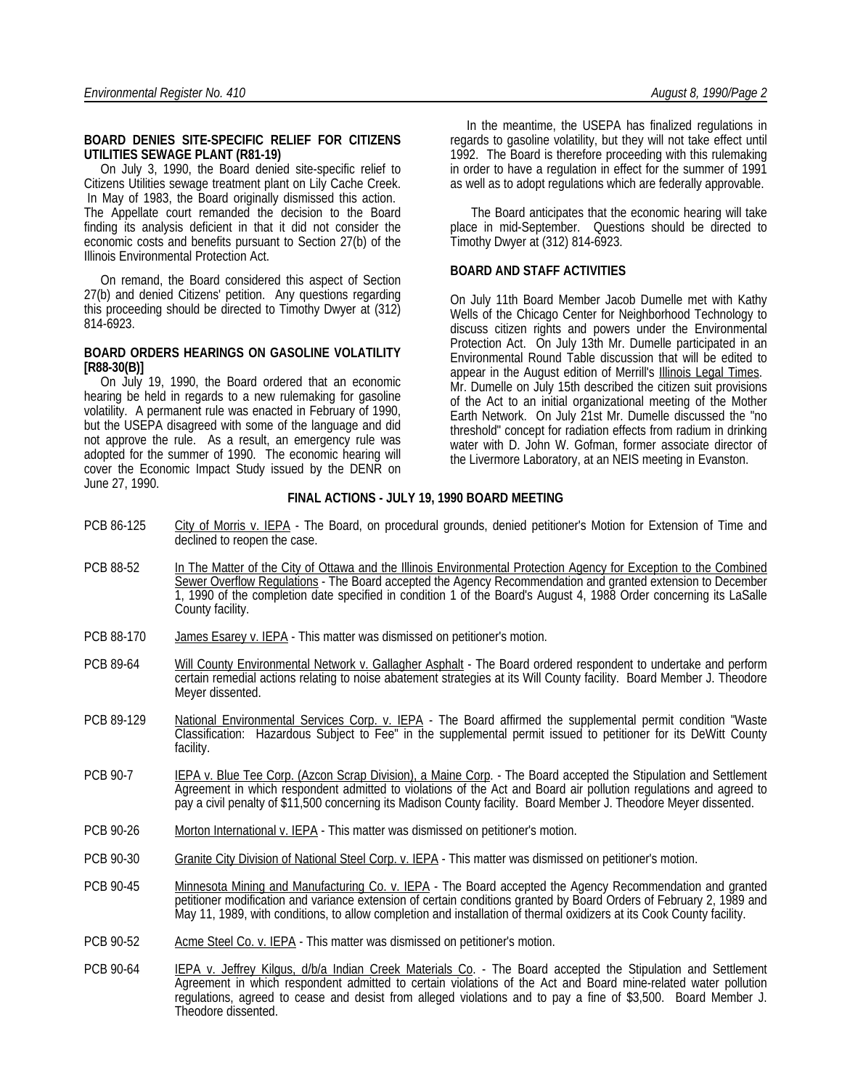#### **BOARD DENIES SITE-SPECIFIC RELIEF FOR CITIZENS UTILITIES SEWAGE PLANT (R81-19)**

 On July 3, 1990, the Board denied site-specific relief to Citizens Utilities sewage treatment plant on Lily Cache Creek. In May of 1983, the Board originally dismissed this action. The Appellate court remanded the decision to the Board finding its analysis deficient in that it did not consider the economic costs and benefits pursuant to Section 27(b) of the Illinois Environmental Protection Act.

 On remand, the Board considered this aspect of Section 27(b) and denied Citizens' petition. Any questions regarding this proceeding should be directed to Timothy Dwyer at (312) 814-6923.

#### **BOARD ORDERS HEARINGS ON GASOLINE VOLATILITY [R88-30(B)]**

 On July 19, 1990, the Board ordered that an economic hearing be held in regards to a new rulemaking for gasoline volatility. A permanent rule was enacted in February of 1990, but the USEPA disagreed with some of the language and did not approve the rule. As a result, an emergency rule was adopted for the summer of 1990. The economic hearing will cover the Economic Impact Study issued by the DENR on June 27, 1990.

 In the meantime, the USEPA has finalized regulations in regards to gasoline volatility, but they will not take effect until 1992. The Board is therefore proceeding with this rulemaking in order to have a regulation in effect for the summer of 1991 as well as to adopt regulations which are federally approvable.

 The Board anticipates that the economic hearing will take place in mid-September. Questions should be directed to Timothy Dwyer at (312) 814-6923.

#### **BOARD AND STAFF ACTIVITIES**

On July 11th Board Member Jacob Dumelle met with Kathy Wells of the Chicago Center for Neighborhood Technology to discuss citizen rights and powers under the Environmental Protection Act. On July 13th Mr. Dumelle participated in an Environmental Round Table discussion that will be edited to appear in the August edition of Merrill's Illinois Legal Times. Mr. Dumelle on July 15th described the citizen suit provisions of the Act to an initial organizational meeting of the Mother Earth Network. On July 21st Mr. Dumelle discussed the "no threshold" concept for radiation effects from radium in drinking water with D. John W. Gofman, former associate director of the Livermore Laboratory, at an NEIS meeting in Evanston.

### **FINAL ACTIONS - JULY 19, 1990 BOARD MEETING**

- PCB 86-125 City of Morris v. IEPA The Board, on procedural grounds, denied petitioner's Motion for Extension of Time and declined to reopen the case.
- PCB 88-52 In The Matter of the City of Ottawa and the Illinois Environmental Protection Agency for Exception to the Combined Sewer Overflow Regulations - The Board accepted the Agency Recommendation and granted extension to December 1, 1990 of the completion date specified in condition 1 of the Board's August 4, 1988 Order concerning its LaSalle County facility.
- PCB 88-170 James Esarey v. IEPA This matter was dismissed on petitioner's motion.
- PCB 89-64 Will County Environmental Network v. Gallagher Asphalt The Board ordered respondent to undertake and perform certain remedial actions relating to noise abatement strategies at its Will County facility. Board Member J. Theodore Meyer dissented.
- PCB 89-129 National Environmental Services Corp. v. IEPA The Board affirmed the supplemental permit condition "Waste Classification: Hazardous Subject to Fee" in the supplemental permit issued to petitioner for its DeWitt County facility.
- PCB 90-7 IEPA v. Blue Tee Corp. (Azcon Scrap Division), a Maine Corp. The Board accepted the Stipulation and Settlement Agreement in which respondent admitted to violations of the Act and Board air pollution regulations and agreed to pay a civil penalty of \$11,500 concerning its Madison County facility. Board Member J. Theodore Meyer dissented.
- PCB 90-26 Morton International v. IEPA This matter was dismissed on petitioner's motion.
- PCB 90-30 Granite City Division of National Steel Corp. v. IEPA This matter was dismissed on petitioner's motion.
- PCB 90-45 Minnesota Mining and Manufacturing Co. v. IEPA The Board accepted the Agency Recommendation and granted petitioner modification and variance extension of certain conditions granted by Board Orders of February 2, 1989 and May 11, 1989, with conditions, to allow completion and installation of thermal oxidizers at its Cook County facility.
- PCB 90-52 Acme Steel Co. v. IEPA This matter was dismissed on petitioner's motion.
- PCB 90-64 IEPA v. Jeffrey Kilgus, d/b/a Indian Creek Materials Co. The Board accepted the Stipulation and Settlement Agreement in which respondent admitted to certain violations of the Act and Board mine-related water pollution regulations, agreed to cease and desist from alleged violations and to pay a fine of \$3,500. Board Member J. Theodore dissented.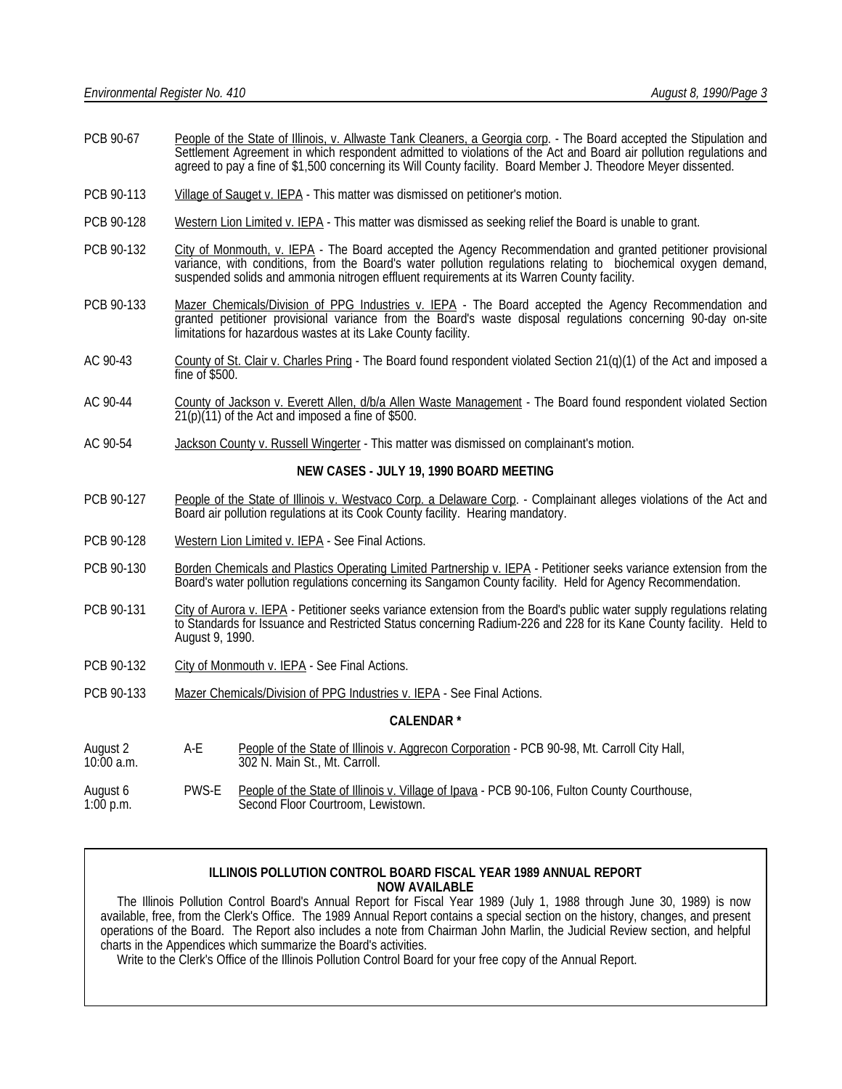- PCB 90-67 People of the State of Illinois, v. Allwaste Tank Cleaners, a Georgia corp. The Board accepted the Stipulation and Settlement Agreement in which respondent admitted to violations of the Act and Board air pollution regulations and agreed to pay a fine of \$1,500 concerning its Will County facility. Board Member J. Theodore Meyer dissented.
- PCB 90-113 Village of Sauget v. IEPA This matter was dismissed on petitioner's motion.
- PCB 90-128 Western Lion Limited v. IEPA This matter was dismissed as seeking relief the Board is unable to grant.
- PCB 90-132 City of Monmouth, v. IEPA The Board accepted the Agency Recommendation and granted petitioner provisional variance, with conditions, from the Board's water pollution regulations relating to biochemical oxygen demand, suspended solids and ammonia nitrogen effluent requirements at its Warren County facility.
- PCB 90-133 Mazer Chemicals/Division of PPG Industries v. IEPA The Board accepted the Agency Recommendation and granted petitioner provisional variance from the Board's waste disposal regulations concerning 90-day on-site limitations for hazardous wastes at its Lake County facility.
- AC 90-43 County of St. Clair v. Charles Pring The Board found respondent violated Section 21(q)(1) of the Act and imposed a fine of \$500.
- AC 90-44 County of Jackson v. Everett Allen, d/b/a Allen Waste Management The Board found respondent violated Section 21(p)(11) of the Act and imposed a fine of \$500.
- AC 90-54 Jackson County v. Russell Wingerter This matter was dismissed on complainant's motion.

#### **NEW CASES - JULY 19, 1990 BOARD MEETING**

- PCB 90-127 People of the State of Illinois v. Westvaco Corp. a Delaware Corp. Complainant alleges violations of the Act and Board air pollution regulations at its Cook County facility. Hearing mandatory.
- PCB 90-128 Western Lion Limited v. IEPA See Final Actions.
- PCB 90-130 Borden Chemicals and Plastics Operating Limited Partnership v. IEPA Petitioner seeks variance extension from the Board's water pollution regulations concerning its Sangamon County facility. Held for Agency Recommendation.
- PCB 90-131 City of Aurora v. IEPA Petitioner seeks variance extension from the Board's public water supply regulations relating to Standards for Issuance and Restricted Status concerning Radium-226 and 228 for its Kane County facility. Held to August 9, 1990.
- PCB 90-132 City of Monmouth v. IEPA See Final Actions.
- PCB 90-133 Mazer Chemicals/Division of PPG Industries v. IEPA See Final Actions.

#### **CALENDAR \***

- August 2 A-E People of the State of Illinois v. Aggrecon Corporation PCB 90-98, Mt. Carroll City Hall, 10:00 a.m. 302 N. Main St., Mt. Carroll.
- August 6 PWS-E People of the State of Illinois v. Village of Ipava PCB 90-106, Fulton County Courthouse, 1:00 p.m. Second Floor Courtroom, Lewistown,

### **ILLINOIS POLLUTION CONTROL BOARD FISCAL YEAR 1989 ANNUAL REPORT NOW AVAILABLE**

 The Illinois Pollution Control Board's Annual Report for Fiscal Year 1989 (July 1, 1988 through June 30, 1989) is now available, free, from the Clerk's Office. The 1989 Annual Report contains a special section on the history, changes, and present operations of the Board. The Report also includes a note from Chairman John Marlin, the Judicial Review section, and helpful charts in the Appendices which summarize the Board's activities.

Write to the Clerk's Office of the Illinois Pollution Control Board for your free copy of the Annual Report.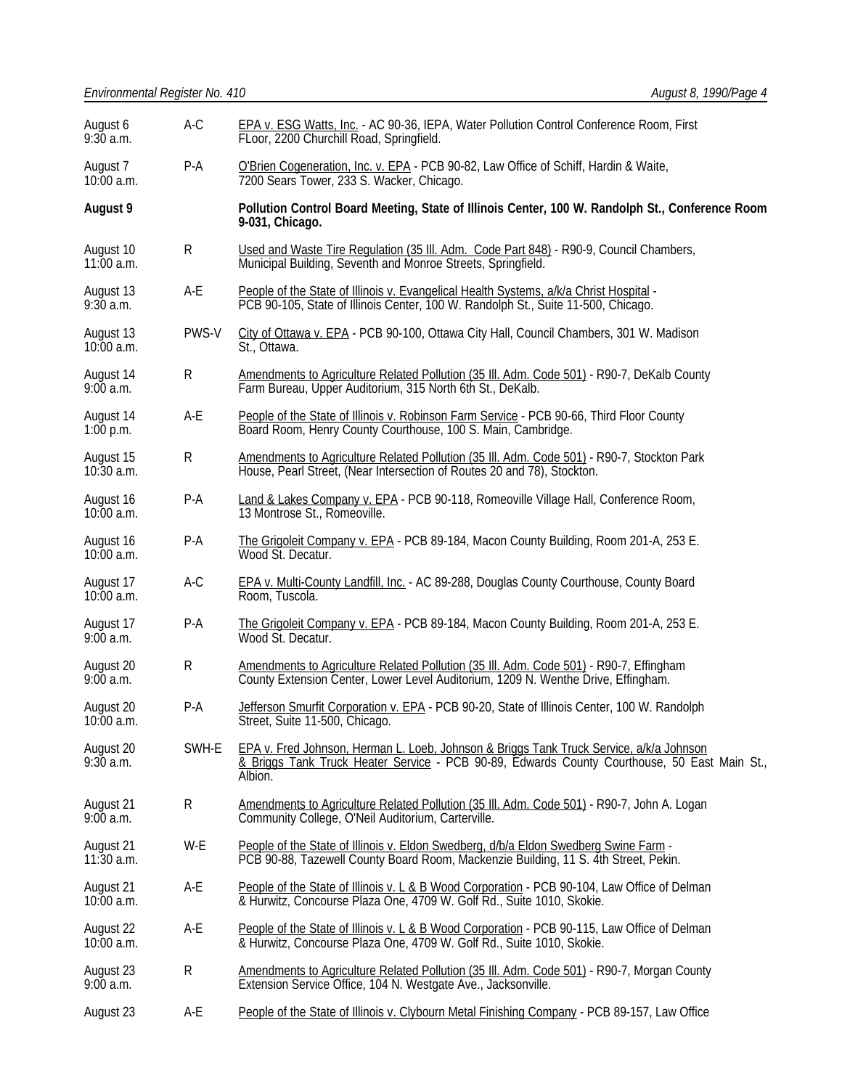| August 6<br>9:30a.m.      | $A-C$       | EPA v. ESG Watts, Inc. - AC 90-36, IEPA, Water Pollution Control Conference Room, First<br>FLoor, 2200 Churchill Road, Springfield.                                                                   |  |
|---------------------------|-------------|-------------------------------------------------------------------------------------------------------------------------------------------------------------------------------------------------------|--|
| August 7<br>$10:00$ a.m.  | P-A         | O'Brien Cogeneration, Inc. v. EPA - PCB 90-82, Law Office of Schiff, Hardin & Waite,<br>7200 Sears Tower, 233 S. Wacker, Chicago.                                                                     |  |
| August 9                  |             | Pollution Control Board Meeting, State of Illinois Center, 100 W. Randolph St., Conference Room<br>9-031, Chicago.                                                                                    |  |
| August 10<br>$11:00$ a.m. | $\mathsf R$ | Used and Waste Tire Regulation (35 III. Adm. Code Part 848) - R90-9, Council Chambers,<br>Municipal Building, Seventh and Monroe Streets, Springfield.                                                |  |
| August 13<br>$9:30$ a.m.  | A-E         | People of the State of Illinois v. Evangelical Health Systems, a/k/a Christ Hospital -<br>PCB 90-105, State of Illinois Center, 100 W. Randolph St., Suite 11-500, Chicago.                           |  |
| August 13<br>$10:00$ a.m. | PWS-V       | City of Ottawa v. EPA - PCB 90-100, Ottawa City Hall, Council Chambers, 301 W. Madison<br>St., Ottawa.                                                                                                |  |
| August 14<br>9:00a.m.     | R           | Amendments to Agriculture Related Pollution (35 III. Adm. Code 501) - R90-7, DeKalb County<br>Farm Bureau, Upper Auditorium, 315 North 6th St., DeKalb.                                               |  |
| August 14<br>$1:00$ p.m.  | A-E         | People of the State of Illinois v. Robinson Farm Service - PCB 90-66, Third Floor County<br>Board Room, Henry County Courthouse, 100 S. Main, Cambridge.                                              |  |
| August 15<br>$10:30$ a.m. | R           | Amendments to Agriculture Related Pollution (35 III. Adm. Code 501) - R90-7, Stockton Park<br>House, Pearl Street, (Near Intersection of Routes 20 and 78), Stockton.                                 |  |
| August 16<br>$10:00$ a.m. | $P-A$       | Land & Lakes Company v. EPA - PCB 90-118, Romeoville Village Hall, Conference Room,<br>13 Montrose St., Romeoville.                                                                                   |  |
| August 16<br>$10:00$ a.m. | P-A         | The Grigoleit Company v. EPA - PCB 89-184, Macon County Building, Room 201-A, 253 E.<br>Wood St. Decatur.                                                                                             |  |
| August 17<br>$10:00$ a.m. | $A-C$       | EPA v. Multi-County Landfill, Inc. - AC 89-288, Douglas County Courthouse, County Board<br>Room, Tuscola.                                                                                             |  |
| August 17<br>9:00a.m.     | $P-A$       | The Grigoleit Company v. EPA - PCB 89-184, Macon County Building, Room 201-A, 253 E.<br>Wood St. Decatur.                                                                                             |  |
| August 20<br>9:00a.m.     | R           | Amendments to Agriculture Related Pollution (35 Ill. Adm. Code 501) - R90-7, Effingham<br>County Extension Center, Lower Level Auditorium, 1209 N. Wenthe Drive, Effingham.                           |  |
| August 20<br>$10:00$ a.m. | $P-A$       | Jefferson Smurfit Corporation v. EPA - PCB 90-20, State of Illinois Center, 100 W. Randolph<br>Street, Suite 11-500, Chicago.                                                                         |  |
| August 20<br>$9:30$ a.m.  | SWH-E       | EPA v. Fred Johnson, Herman L. Loeb, Johnson & Briggs Tank Truck Service, a/k/a Johnson<br>Tank Truck Heater Service - PCB 90-89, Edwards County Courthouse, 50 East Main St.,<br>& Briggs<br>Albion. |  |
| August 21<br>9:00a.m.     | $\mathsf R$ | Amendments to Agriculture Related Pollution (35 III. Adm. Code 501) - R90-7, John A. Logan<br>Community College, O'Neil Auditorium, Carterville.                                                      |  |
| August 21<br>$11:30$ a.m. | W-E         | People of the State of Illinois v. Eldon Swedberg, d/b/a Eldon Swedberg Swine Farm -<br>PCB 90-88, Tazewell County Board Room, Mackenzie Building, 11 S. 4th Street, Pekin.                           |  |
| August 21<br>10:00 a.m.   | A-E         | People of the State of Illinois v. L & B Wood Corporation - PCB 90-104, Law Office of Delman<br>& Hurwitz, Concourse Plaza One, 4709 W. Golf Rd., Suite 1010, Skokie.                                 |  |
| August 22<br>$10:00$ a.m. | A-E         | People of the State of Illinois v. L & B Wood Corporation - PCB 90-115, Law Office of Delman<br>& Hurwitz, Concourse Plaza One, 4709 W. Golf Rd., Suite 1010, Skokie.                                 |  |
| August 23<br>9:00a.m.     | R           | Amendments to Agriculture Related Pollution (35 III. Adm. Code 501) - R90-7, Morgan County<br>Extension Service Office, 104 N. Westgate Ave., Jacksonville.                                           |  |
| August 23                 | A-E         | People of the State of Illinois v. Clybourn Metal Finishing Company - PCB 89-157, Law Office                                                                                                          |  |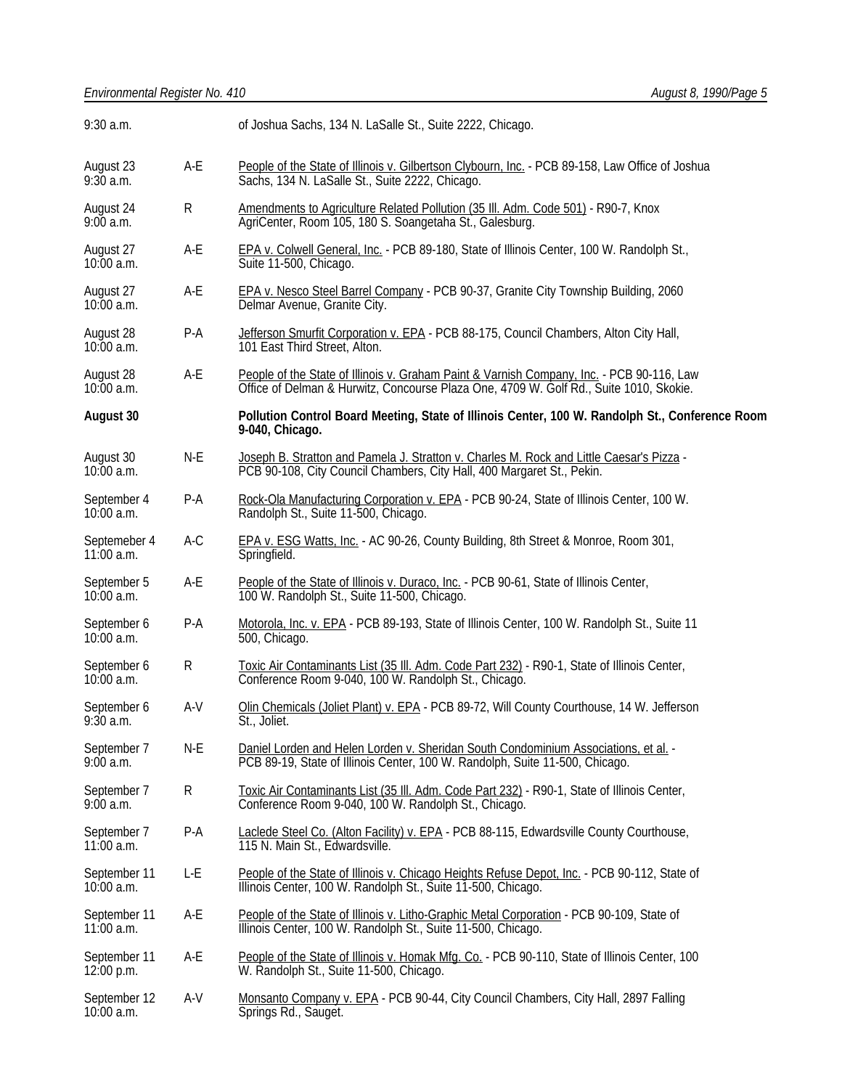| 9:30 a.m.                    |           | of Joshua Sachs, 134 N. LaSalle St., Suite 2222, Chicago.                                                                                                                        |  |
|------------------------------|-----------|----------------------------------------------------------------------------------------------------------------------------------------------------------------------------------|--|
| August 23<br>9:30a.m.        | A-E       | People of the State of Illinois v. Gilbertson Clybourn, Inc. - PCB 89-158, Law Office of Joshua<br>Sachs, 134 N. LaSalle St., Suite 2222, Chicago.                               |  |
| August 24<br>9:00a.m.        | ${\sf R}$ | Amendments to Agriculture Related Pollution (35 III. Adm. Code 501) - R90-7, Knox<br>AgriCenter, Room 105, 180 S. Soangetaha St., Galesburg.                                     |  |
| August 27<br>10:00 a.m.      | $A-E$     | EPA v. Colwell General, Inc. - PCB 89-180, State of Illinois Center, 100 W. Randolph St.,<br>Suite 11-500, Chicago.                                                              |  |
| August 27<br>$10:00$ a.m.    | $A-E$     | <b>EPA v. Nesco Steel Barrel Company - PCB 90-37, Granite City Township Building, 2060</b><br>Delmar Avenue, Granite City.                                                       |  |
| August 28<br>$10:00$ a.m.    | $P-A$     | Jefferson Smurfit Corporation v. EPA - PCB 88-175, Council Chambers, Alton City Hall,<br>101 East Third Street, Alton.                                                           |  |
| August 28<br>$10:00$ a.m.    | $A-E$     | People of the State of Illinois v. Graham Paint & Varnish Company, Inc. - PCB 90-116, Law Office of Delman & Hurwitz, Concourse Plaza One, 4709 W. Golf Rd., Suite 1010, Skokie. |  |
| August 30                    |           | Pollution Control Board Meeting, State of Illinois Center, 100 W. Randolph St., Conference Room<br>9-040, Chicago.                                                               |  |
| August 30<br>$10:00$ a.m.    | $N-E$     | Joseph B. Stratton and Pamela J. Stratton v. Charles M. Rock and Little Caesar's Pizza -<br>PCB 90-108, City Council Chambers, City Hall, 400 Margaret St., Pekin.               |  |
| September 4<br>$10:00$ a.m.  | $P-A$     | Rock-Ola Manufacturing Corporation v. EPA - PCB 90-24, State of Illinois Center, 100 W.<br>Randolph St., Suite 11-500, Chicago.                                                  |  |
| Septemeber 4<br>$11:00$ a.m. | $A-C$     | EPA v. ESG Watts, Inc. - AC 90-26, County Building, 8th Street & Monroe, Room 301,<br>Springfield.                                                                               |  |
| September 5<br>$10:00$ a.m.  | A-E       | People of the State of Illinois v. Duraco, Inc. - PCB 90-61, State of Illinois Center,<br>100 W. Randolph St., Suite 11-500, Chicago.                                            |  |
| September 6<br>$10:00$ a.m.  | $P-A$     | Motorola, Inc. v. EPA - PCB 89-193, State of Illinois Center, 100 W. Randolph St., Suite 11<br>500, Chicago.                                                                     |  |
| September 6<br>$10:00$ a.m.  | R         | Toxic Air Contaminants List (35 III. Adm. Code Part 232) - R90-1, State of Illinois Center,<br>Conference Room 9-040, 100 W. Randolph St., Chicago.                              |  |
| September 6<br>$9:30$ a.m.   | $A-V$     | Olin Chemicals (Joliet Plant) v. EPA - PCB 89-72, Will County Courthouse, 14 W. Jefferson<br>St., Joliet.                                                                        |  |
| September 7<br>9:00 a.m.     | $N-E$     | Daniel Lorden and Helen Lorden v. Sheridan South Condominium Associations, et al. -<br>PCB 89-19, State of Illinois Center, 100 W. Randolph, Suite 11-500, Chicago.              |  |
| September 7<br>9:00 a.m.     | R         | Toxic Air Contaminants List (35 III. Adm. Code Part 232) - R90-1, State of Illinois Center,<br>Conference Room 9-040, 100 W. Randolph St., Chicago.                              |  |
| September 7<br>$11:00$ a.m.  | $P-A$     | Laclede Steel Co. (Alton Facility) v. EPA - PCB 88-115, Edwardsville County Courthouse,<br>115 N. Main St., Edwardsville.                                                        |  |
| September 11<br>$10:00$ a.m. | L-E       | People of the State of Illinois v. Chicago Heights Refuse Depot, Inc. - PCB 90-112, State of<br>Illinois Center, 100 W. Randolph St., Šuite 11-500, Chicago.                     |  |
| September 11<br>11:00 a.m.   | A-E       | People of the State of Illinois v. Litho-Graphic Metal Corporation - PCB 90-109, State of<br>Illinois Center, 100 W. Randolph St., Suite 11-500, Chicago.                        |  |
| September 11<br>12:00 p.m.   | A-E       | People of the State of Illinois v. Homak Mfg. Co. - PCB 90-110, State of Illinois Center, 100<br>W. Randolph St., Suite 11-500, Chicago.                                         |  |
| September 12<br>$10:00$ a.m. | $A-V$     | Monsanto Company v. EPA - PCB 90-44, City Council Chambers, City Hall, 2897 Falling<br>Springs Rd., Sauget.                                                                      |  |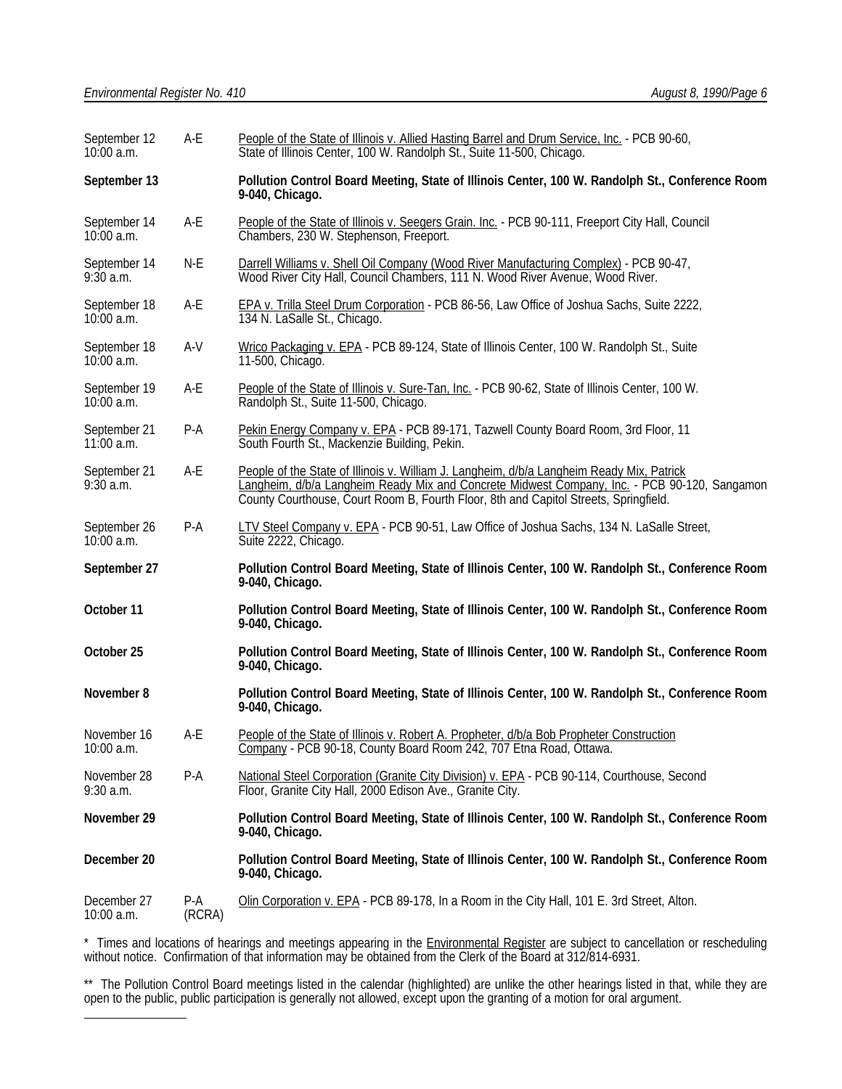| September 12<br>10:00 a.m.   | A-E             | People of the State of Illinois v. Allied Hasting Barrel and Drum Service, Inc. - PCB 90-60,<br>State of Illinois Center, 100 W. Randolph St., Suite 11-500, Chicago.                                                                                                             |  |
|------------------------------|-----------------|-----------------------------------------------------------------------------------------------------------------------------------------------------------------------------------------------------------------------------------------------------------------------------------|--|
| September 13                 |                 | Pollution Control Board Meeting, State of Illinois Center, 100 W. Randolph St., Conference Room<br>9-040, Chicago.                                                                                                                                                                |  |
| September 14<br>$10:00$ a.m. | A-E             | People of the State of Illinois v. Seegers Grain. Inc. - PCB 90-111, Freeport City Hall, Council<br>Chambers, 230 W. Stephenson, Freeport.                                                                                                                                        |  |
| September 14<br>$9:30$ a.m.  | N-E             | Darrell Williams v. Shell Oil Company (Wood River Manufacturing Complex) - PCB 90-47,<br>Wood River City Hall, Council Chambers, 111 N. Wood River Avenue, Wood River.                                                                                                            |  |
| September 18<br>10:00 a.m.   | A-E             | EPA v. Trilla Steel Drum Corporation - PCB 86-56, Law Office of Joshua Sachs, Suite 2222,<br>134 N. LaSalle St., Chicago.                                                                                                                                                         |  |
| September 18<br>$10:00$ a.m. | A-V             | Wrico Packaging v. EPA - PCB 89-124, State of Illinois Center, 100 W. Randolph St., Suite<br>11-500, Chicago.                                                                                                                                                                     |  |
| September 19<br>$10:00$ a.m. | A-E             | People of the State of Illinois v. Sure-Tan, Inc. - PCB 90-62, State of Illinois Center, 100 W.<br>Randolph St., Suite 11-500, Chicago.                                                                                                                                           |  |
| September 21<br>$11:00$ a.m. | $P-A$           | Pekin Energy Company v. EPA - PCB 89-171, Tazwell County Board Room, 3rd Floor, 11<br>South Fourth St., Mackenzie Building, Pekin.                                                                                                                                                |  |
| September 21<br>$9:30$ a.m.  | A-E             | People of the State of Illinois v. William J. Langheim, d/b/a Langheim Ready Mix, Patrick<br>Langheim, d/b/a Langheim Ready Mix and Concrete Midwest Company, Inc. - PCB 90-120, Sangamon<br>County Courthouse, Court Room B, Fourth Floor, 8th and Capitol Streets, Springfield. |  |
| September 26<br>10:00 a.m.   | P-A             | LTV Steel Company v. EPA - PCB 90-51, Law Office of Joshua Sachs, 134 N. LaSalle Street,<br>Suite 2222, Chicago.                                                                                                                                                                  |  |
| September 27                 |                 | Pollution Control Board Meeting, State of Illinois Center, 100 W. Randolph St., Conference Room<br>9-040, Chicago.                                                                                                                                                                |  |
| October 11                   |                 | Pollution Control Board Meeting, State of Illinois Center, 100 W. Randolph St., Conference Room<br>9-040, Chicago.                                                                                                                                                                |  |
| October 25                   |                 | Pollution Control Board Meeting, State of Illinois Center, 100 W. Randolph St., Conference Room<br>9-040, Chicago.                                                                                                                                                                |  |
| November 8                   |                 | Pollution Control Board Meeting, State of Illinois Center, 100 W. Randolph St., Conference Room<br>9-040, Chicago.                                                                                                                                                                |  |
| November 16<br>10:00 a.m.    | A-E             | People of the State of Illinois v. Robert A. Propheter, d/b/a Bob Propheter Construction<br>Company - PCB 90-18, County Board Room 242, 707 Etna Road, Ottawa                                                                                                                     |  |
| November 28<br>$9:30$ a.m.   | $P-A$           | National Steel Corporation (Granite City Division) v. EPA - PCB 90-114, Courthouse, Second<br>Floor, Granite City Hall, 2000 Edison Ave., Granite City.                                                                                                                           |  |
| November 29                  |                 | Pollution Control Board Meeting, State of Illinois Center, 100 W. Randolph St., Conference Room<br>9-040, Chicago.                                                                                                                                                                |  |
| December 20                  |                 | Pollution Control Board Meeting, State of Illinois Center, 100 W. Randolph St., Conference Room<br>9-040, Chicago.                                                                                                                                                                |  |
| December 27<br>10:00 a.m.    | $P-A$<br>(RCRA) | Olin Corporation v. EPA - PCB 89-178, In a Room in the City Hall, 101 E. 3rd Street, Alton.                                                                                                                                                                                       |  |

\* Times and locations of hearings and meetings appearing in the **Environmental Register** are subject to cancellation or rescheduling without notice. Confirmation of that information may be obtained from the Clerk of the Board at 312/814-6931.

\*\* The Pollution Control Board meetings listed in the calendar (highlighted) are unlike the other hearings listed in that, while they are open to the public, public participation is generally not allowed, except upon the granting of a motion for oral argument. l